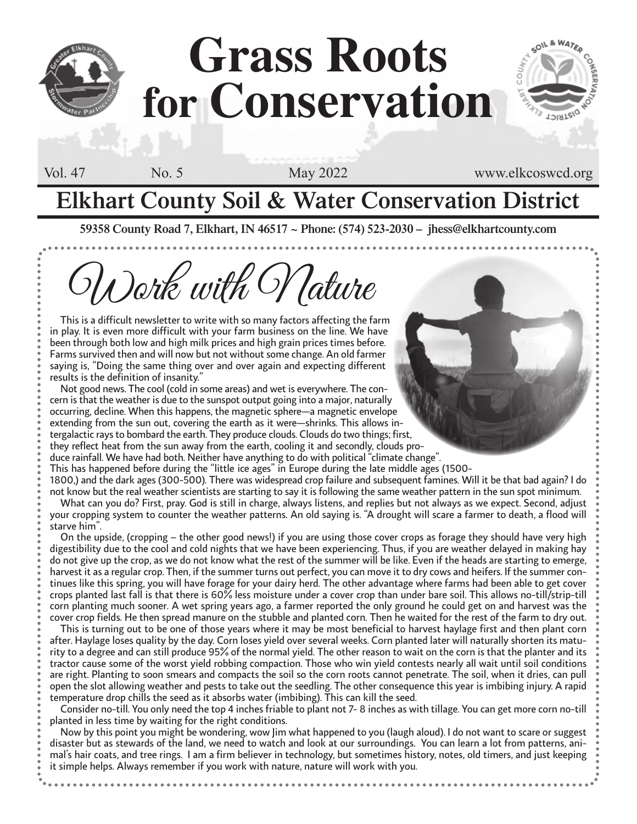## **Grass Roots for Conservation**

Vol. 47 No. 5 May 2022 www.elkcoswcd.org

**LOIRTEIO** 

### **Elkhart County Soil & Water Conservation District**

**59358 County Road 7, Elkhart, IN 46517 ~ Phone: (574) 523-2030 – jhess@elkhartcounty.com**

Work with Nature

This is a difficult newsletter to write with so many factors affecting the farm in play. It is even more difficult with your farm business on the line. We have been through both low and high milk prices and high grain prices times before. Farms survived then and will now but not without some change. An old farmer saying is, "Doing the same thing over and over again and expecting different results is the definition of insanity."

Not good news. The cool (cold in some areas) and wet is everywhere. The concern is that the weather is due to the sunspot output going into a major, naturally occurring, decline. When this happens, the magnetic sphere—a magnetic envelope extending from the sun out, covering the earth as it were—shrinks. This allows intergalactic rays to bombard the earth. They produce clouds. Clouds do two things; first, they reflect heat from the sun away from the earth, cooling it and secondly, clouds produce rainfall. We have had both. Neither have anything to do with political "climate change". This has happened before during the "little ice ages" in Europe during the late middle ages (1500-

1800,) and the dark ages (300-500). There was widespread crop failure and subsequent famines. Will it be that bad again? I do not know but the real weather scientists are starting to say it is following the same weather pattern in the sun spot minimum. What can you do? First, pray. God is still in charge, always listens, and replies but not always as we expect. Second, adjust

your cropping system to counter the weather patterns. An old saying is. "A drought will scare a farmer to death, a flood will starve him".

On the upside, (cropping – the other good news!) if you are using those cover crops as forage they should have very high digestibility due to the cool and cold nights that we have been experiencing. Thus, if you are weather delayed in making hay do not give up the crop, as we do not know what the rest of the summer will be like. Even if the heads are starting to emerge, harvest it as a regular crop. Then, if the summer turns out perfect, you can move it to dry cows and heifers. If the summer continues like this spring, you will have forage for your dairy herd. The other advantage where farms had been able to get cover crops planted last fall is that there is 60% less moisture under a cover crop than under bare soil. This allows no-till/strip-till corn planting much sooner. A wet spring years ago, a farmer reported the only ground he could get on and harvest was the cover crop fields. He then spread manure on the stubble and planted corn. Then he waited for the rest of the farm to dry out.

This is turning out to be one of those years where it may be most beneficial to harvest haylage first and then plant corn after. Haylage loses quality by the day. Corn loses yield over several weeks. Corn planted later will naturally shorten its maturity to a degree and can still produce 95% of the normal yield. The other reason to wait on the corn is that the planter and its tractor cause some of the worst yield robbing compaction. Those who win yield contests nearly all wait until soil conditions are right. Planting to soon smears and compacts the soil so the corn roots cannot penetrate. The soil, when it dries, can pull open the slot allowing weather and pests to take out the seedling. The other consequence this year is imbibing injury. A rapid temperature drop chills the seed as it absorbs water (imbibing). This can kill the seed.

Consider no-till. You only need the top 4 inches friable to plant not 7- 8 inches as with tillage. You can get more corn no-till planted in less time by waiting for the right conditions.

Now by this point you might be wondering, wow Jim what happened to you (laugh aloud). I do not want to scare or suggest disaster but as stewards of the land, we need to watch and look at our surroundings. You can learn a lot from patterns, animal's hair coats, and tree rings. I am a firm believer in technology, but sometimes history, notes, old timers, and just keeping it simple helps. Always remember if you work with nature, nature will work with you.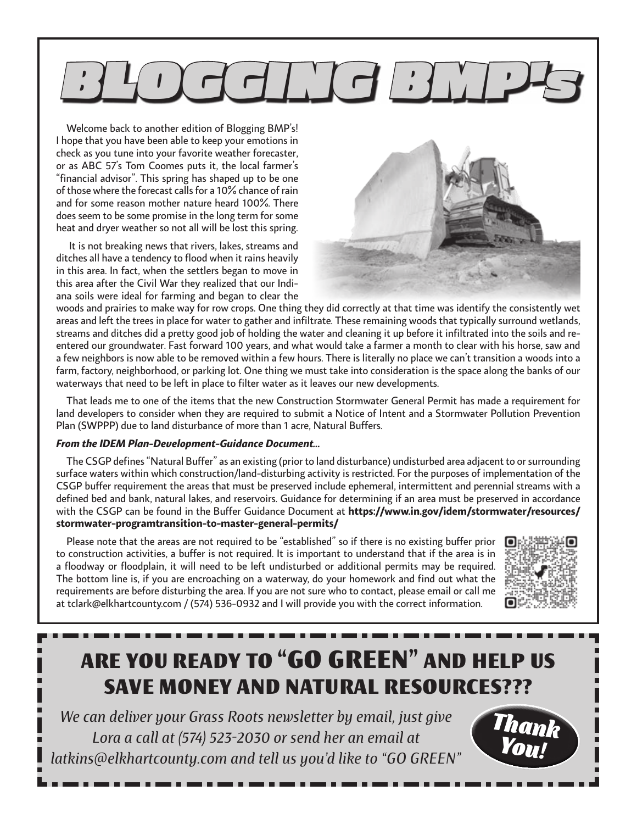# $\Box$  $\Box$  $\Box$

Welcome back to another edition of Blogging BMP's! I hope that you have been able to keep your emotions in check as you tune into your favorite weather forecaster, or as ABC 57's Tom Coomes puts it, the local farmer's "financial advisor". This spring has shaped up to be one of those where the forecast calls for a 10% chance of rain and for some reason mother nature heard 100%. There does seem to be some promise in the long term for some heat and dryer weather so not all will be lost this spring.

 It is not breaking news that rivers, lakes, streams and ditches all have a tendency to flood when it rains heavily in this area. In fact, when the settlers began to move in this area after the Civil War they realized that our Indiana soils were ideal for farming and began to clear the



woods and prairies to make way for row crops. One thing they did correctly at that time was identify the consistently wet areas and left the trees in place for water to gather and infiltrate. These remaining woods that typically surround wetlands, streams and ditches did a pretty good job of holding the water and cleaning it up before it infiltrated into the soils and reentered our groundwater. Fast forward 100 years, and what would take a farmer a month to clear with his horse, saw and a few neighbors is now able to be removed within a few hours. There is literally no place we can't transition a woods into a farm, factory, neighborhood, or parking lot. One thing we must take into consideration is the space along the banks of our waterways that need to be left in place to filter water as it leaves our new developments.

That leads me to one of the items that the new Construction Stormwater General Permit has made a requirement for land developers to consider when they are required to submit a Notice of Intent and a Stormwater Pollution Prevention Plan (SWPPP) due to land disturbance of more than 1 acre, Natural Buffers.

### *From the IDEM Plan-Development-Guidance Document…*

The CSGP defines "Natural Buffer" as an existing (prior to land disturbance) undisturbed area adjacent to or surrounding surface waters within which construction/land-disturbing activity is restricted. For the purposes of implementation of the CSGP buffer requirement the areas that must be preserved include ephemeral, intermittent and perennial streams with a defined bed and bank, natural lakes, and reservoirs. Guidance for determining if an area must be preserved in accordance with the CSGP can be found in the Buffer Guidance Document at **https://www.in.gov/idem/stormwater/resources/ stormwater-programtransition-to-master-general-permits/**

Please note that the areas are not required to be "established" so if there is no existing buffer prior to construction activities, a buffer is not required. It is important to understand that if the area is in a floodway or floodplain, it will need to be left undisturbed or additional permits may be required. The bottom line is, if you are encroaching on a waterway, do your homework and find out what the requirements are before disturbing the area. If you are not sure who to contact, please email or call me at tclark@elkhartcounty.com / (574) 536-0932 and I will provide you with the correct information.



### ARE YOU READY TO "GO GREEN" AND HELP US SAVE MONEY AND NATURAL RESOURCES???

*We can deliver your Grass Roots newsletter by email, just give Lora a call at (574) 523-2030 or send her an email at latkins@elkhartcounty.com and tell us you'd like to "GO GREEN"*

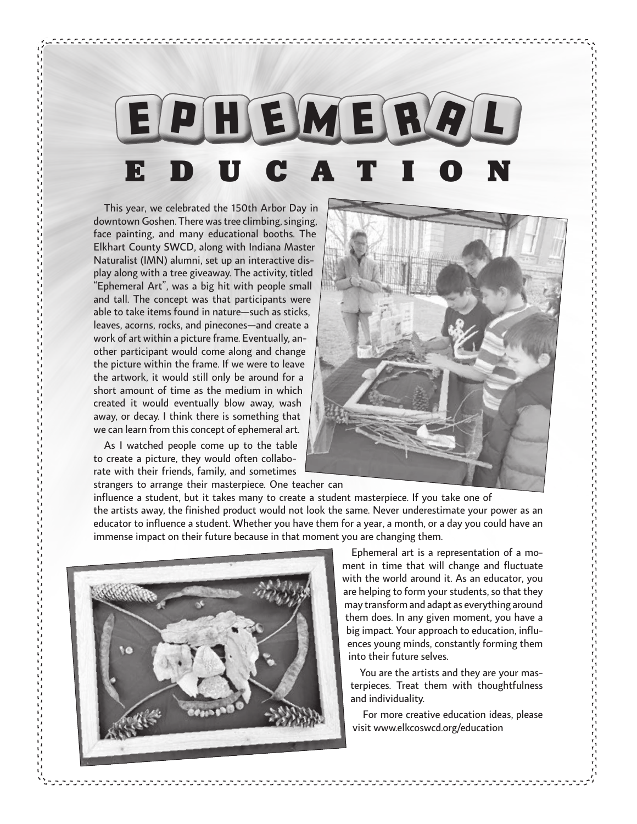## E p H E M e r a l EDUCATION

This year, we celebrated the 150th Arbor Day in downtown Goshen. There was tree climbing, singing, face painting, and many educational booths. The Elkhart County SWCD, along with Indiana Master Naturalist (IMN) alumni, set up an interactive display along with a tree giveaway. The activity, titled "Ephemeral Art", was a big hit with people small and tall. The concept was that participants were able to take items found in nature—such as sticks, leaves, acorns, rocks, and pinecones—and create a work of art within a picture frame. Eventually, another participant would come along and change the picture within the frame. If we were to leave the artwork, it would still only be around for a short amount of time as the medium in which created it would eventually blow away, wash away, or decay. I think there is something that we can learn from this concept of ephemeral art.

As I watched people come up to the table to create a picture, they would often collaborate with their friends, family, and sometimes strangers to arrange their masterpiece. One teacher can



influence a student, but it takes many to create a student masterpiece. If you take one of the artists away, the finished product would not look the same. Never underestimate your power as an educator to influence a student. Whether you have them for a year, a month, or a day you could have an immense impact on their future because in that moment you are changing them.



Ephemeral art is a representation of a moment in time that will change and fluctuate with the world around it. As an educator, you are helping to form your students, so that they may transform and adapt as everything around them does. In any given moment, you have a big impact. Your approach to education, influences young minds, constantly forming them into their future selves.

You are the artists and they are your masterpieces. Treat them with thoughtfulness and individuality.

For more creative education ideas, please visit www.elkcoswcd.org/education